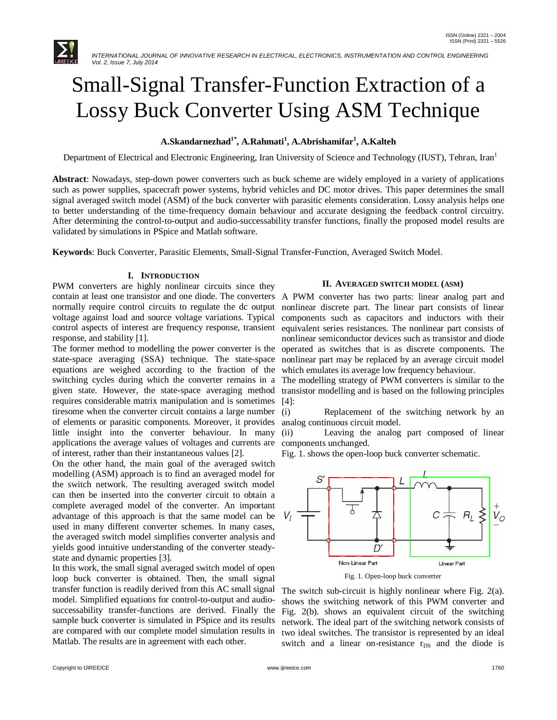

# Small-Signal Transfer-Function Extraction of a Lossy Buck Converter Using ASM Technique

# **A.Skandarnezhad1\* , A.Rahmati<sup>1</sup> , A.Abrishamifar<sup>1</sup> , A.Kalteh**

Department of Electrical and Electronic Engineering, Iran University of Science and Technology (IUST), Tehran, Iran<sup>1</sup>

**Abstract**: Nowadays, step-down power converters such as buck scheme are widely employed in a variety of applications such as power supplies, spacecraft power systems, hybrid vehicles and DC motor drives. This paper determines the small signal averaged switch model (ASM) of the buck converter with parasitic elements consideration. Lossy analysis helps one to better understanding of the time-frequency domain behaviour and accurate designing the feedback control circuitry. After determining the control-to-output and audio-successability transfer functions, finally the proposed model results are validated by simulations in PSpice and Matlab software.

**Keywords**: Buck Converter, Parasitic Elements, Small-Signal Transfer-Function, Averaged Switch Model.

## **I. INTRODUCTION**

PWM converters are highly nonlinear circuits since they contain at least one transistor and one diode. The converters A PWM converter has two parts: linear analog part and normally require control circuits to regulate the dc output voltage against load and source voltage variations. Typical control aspects of interest are frequency response, transient response, and stability [1].

The former method to modelling the power converter is the state-space averaging (SSA) technique. The state-space equations are weighed according to the fraction of the switching cycles during which the converter remains in a given state. However, the state-space averaging method requires considerable matrix manipulation and is sometimes tiresome when the converter circuit contains a large number of elements or parasitic components. Moreover, it provides little insight into the converter behaviour. In many applications the average values of voltages and currents are of interest, rather than their instantaneous values [2].

On the other hand, the main goal of the averaged switch modelling (ASM) approach is to find an averaged model for the switch network. The resulting averaged switch model can then be inserted into the converter circuit to obtain a complete averaged model of the converter. An important advantage of this approach is that the same model can be used in many different converter schemes. In many cases, the averaged switch model simplifies converter analysis and yields good intuitive understanding of the converter steadystate and dynamic properties [3].

In this work, the small signal averaged switch model of open loop buck converter is obtained. Then, the small signal transfer function is readily derived from this AC small signal model. Simplified equations for control-to-output and audiosuccessability transfer-functions are derived. Finally the sample buck converter is simulated in PSpice and its results are compared with our complete model simulation results in Matlab. The results are in agreement with each other.

#### **II. AVERAGED SWITCH MODEL (ASM)**

nonlinear discrete part. The linear part consists of linear components such as capacitors and inductors with their equivalent series resistances. The nonlinear part consists of nonlinear semiconductor devices such as transistor and diode operated as switches that is as discrete components. The nonlinear part may be replaced by an average circuit model which emulates its average low frequency behaviour.

The modelling strategy of PWM converters is similar to the transistor modelling and is based on the following principles [4]:

(i) Replacement of the switching network by an analog continuous circuit model.

(ii) Leaving the analog part composed of linear components unchanged.

Fig. 1. shows the open-loop buck converter schematic.



Fig. 1. Open-loop buck converter

The switch sub-circuit is highly nonlinear where Fig. 2(a). shows the switching network of this PWM converter and Fig. 2(b). shows an equivalent circuit of the switching network. The ideal part of the switching network consists of two ideal switches. The transistor is represented by an ideal switch and a linear on-resistance r<sub>DS</sub> and the diode is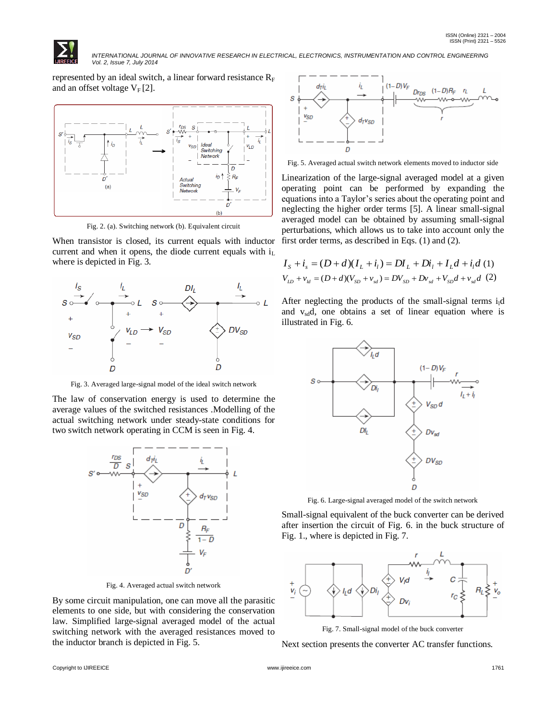

 *INTERNATIONAL JOURNAL OF INNOVATIVE RESEARCH IN ELECTRICAL, ELECTRONICS, INSTRUMENTATION AND CONTROL ENGINEERING Vol. 2, Issue 7, July 2014*

represented by an ideal switch, a linear forward resistance  $R_F$ and an offset voltage  $V_F[2]$ .



Fig. 2. (a). Switching network (b). Equivalent circuit

When transistor is closed, its current equals with inductor current and when it opens, the diode current equals with  $i_L$ where is depicted in Fig. 3.



Fig. 3. Averaged large-signal model of the ideal switch network

The law of conservation energy is used to determine the average values of the switched resistances .Modelling of the actual switching network under steady-state conditions for two switch network operating in CCM is seen in Fig. 4.



Fig. 4. Averaged actual switch network

By some circuit manipulation, one can move all the parasitic elements to one side, but with considering the conservation law. Simplified large-signal averaged model of the actual switching network with the averaged resistances moved to the inductor branch is depicted in Fig. 5.



Fig. 5. Averaged actual switch network elements moved to inductor side

Linearization of the large-signal averaged model at a given operating point can be performed by expanding the equations into a Taylor's series about the operating point and neglecting the higher order terms [5]. A linear small-signal averaged model can be obtained by assuming small-signal perturbations, which allows us to take into account only the first order terms, as described in Eqs. (1) and (2).

$$
I_{S} + i_{s} = (D + d)(I_{L} + i_{l}) = DI_{L} + Di_{l} + I_{L}d + i_{l}d
$$
 (1)  

$$
V_{LD} + v_{ld} = (D + d)(V_{SD} + v_{sd}) = DV_{SD} + Dv_{sd} + V_{SD}d + v_{sd}d
$$
 (2)

After neglecting the products of the small-signal terms  $i<sub>l</sub>d$ and  $v_{sd}$ , one obtains a set of linear equation where is illustrated in Fig. 6.



Fig. 6. Large-signal averaged model of the switch network

Small-signal equivalent of the buck converter can be derived after insertion the circuit of Fig. 6. in the buck structure of Fig. 1., where is depicted in Fig. 7.



Fig. 7. Small-signal model of the buck converter

Next section presents the converter AC transfer functions.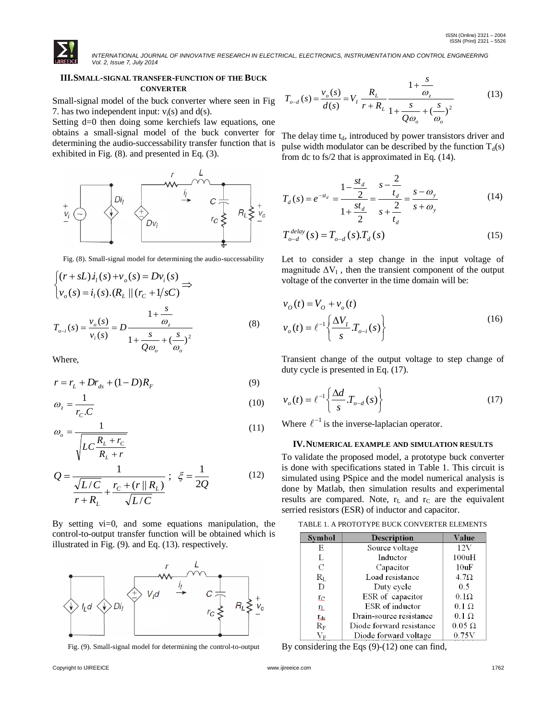

 *INTERNATIONAL JOURNAL OF INNOVATIVE RESEARCH IN ELECTRICAL, ELECTRONICS, INSTRUMENTATION AND CONTROL ENGINEERING Vol. 2, Issue 7, July 2014*

#### **III.SMALL-SIGNAL TRANSFER-FUNCTION OF THE BUCK CONVERTER**

Small-signal model of the buck converter where seen in Fig 7. has two independent input:  $v_i(s)$  and  $d(s)$ .

Setting d=0 then doing some kerchiefs law equations, one obtains a small-signal model of the buck converter for determining the audio-successability transfer function that is exhibited in Fig. (8). and presented in Eq. (3).



Fig. (8). Small-signal model for determining the audio-successability

$$
\begin{aligned}\n\int (r + sL) i_1(s) + v_o(s) &= Dv_i(s) \\
\downarrow v_o(s) &= i_1(s) \cdot (R_L \parallel (r_C + 1/sC))\n\end{aligned}
$$
\n
$$
T_{o-i}(s) = \frac{v_o(s)}{v_i(s)} = D \frac{1 + \frac{s}{\omega_z}}{1 + \frac{s}{Q\omega_o} + (\frac{s}{\omega_o})^2}\n\tag{8}
$$

Where,

$$
r = r_L + Dr_{ds} + (1 - D)R_F
$$
 (9)

$$
\omega_z = \frac{1}{r_c \cdot C} \tag{10}
$$

$$
\omega_o = \frac{1}{\sqrt{LC\frac{R_L + r_C}{R_L + r}}}
$$
\n(11)

$$
Q = \frac{1}{\frac{\sqrt{L/C}}{r + R_L} + \frac{r_C + (r || R_L)}{\sqrt{L/C}}}; \xi = \frac{1}{2Q}
$$
(12)

By setting vi=0, and some equations manipulation, the control-to-output transfer function will be obtained which is illustrated in Fig. (9). and Eq. (13). respectively.



Fig. (9). Small-signal model for determining the control-to-output

$$
T_{o-d}(s) = \frac{v_o(s)}{d(s)} = V_I \frac{R_L}{r + R_L} \frac{1 + \frac{s}{\omega_z}}{1 + \frac{s}{Q\omega_o} + (\frac{s}{\omega_o})^2}
$$
(13)

The delay time  $t_d$ , introduced by power transistors driver and pulse width modulator can be described by the function  $T_d(s)$ from dc to fs/2 that is approximated in Eq. (14).

$$
T_d(s) = e^{-st_d} = \frac{1 - \frac{st_d}{2}}{1 + \frac{st_d}{2}} = \frac{s - \frac{2}{t_d}}{s + \frac{2}{t_d}} = \frac{s - \omega_y}{s + \omega_y}
$$
(14)

$$
T_{o-d}^{delay}(s) = T_{o-d}(s) \cdot T_d(s)
$$
 (15)

Let to consider a step change in the input voltage of magnitude  $\Delta V_I$ , then the transient component of the output voltage of the converter in the time domain will be:

$$
v_o(t) = V_o + v_o(t)
$$
  

$$
v_o(t) = \ell^{-1} \left\{ \frac{\Delta V_I}{s} T_{o-i}(s) \right\}
$$
 (16)

Transient change of the output voltage to step change of duty cycle is presented in Eq. (17).

$$
v_o(t) = \ell^{-1} \left\{ \frac{\Delta d}{s} T_{o-d}(s) \right\} \tag{17}
$$

Where  $\ell^{-1}$  is the inverse-laplacian operator.

#### **IV.NUMERICAL EXAMPLE AND SIMULATION RESULTS**

To validate the proposed model, a prototype buck converter is done with specifications stated in Table 1. This circuit is simulated using PSpice and the model numerical analysis is done by Matlab, then simulation results and experimental results are compared. Note,  $r<sub>L</sub>$  and  $r<sub>C</sub>$  are the equivalent serried resistors (ESR) of inductor and capacitor.

TABLE 1. A PROTOTYPE BUCK CONVERTER ELEMENTS

| Symbol                         | <b>Description</b>       | Value         |
|--------------------------------|--------------------------|---------------|
| E                              | Source voltage           | 12V           |
| L                              | Inductor                 | 100uH         |
| C                              | Capacitor                | 10uF          |
| $R_{L}$                        | Load resistance          | $4.7\Omega$   |
| D                              | Duty cycle               | 0.5           |
| Ľс                             | ESR of capacitor         | $0.1\Omega$   |
| ${\rm tr}$                     | ESR of inductor          | $0.1 \Omega$  |
| $_{\rm Lds}$                   | Drain-source resistance  | $0.1 \Omega$  |
| $R_{\rm F}$                    | Diode forward resistance | $0.05 \Omega$ |
| $\rm V_{\scriptscriptstyle E}$ | Diode forward voltage    | 0.75V         |

By considering the Eqs (9)-(12) one can find,